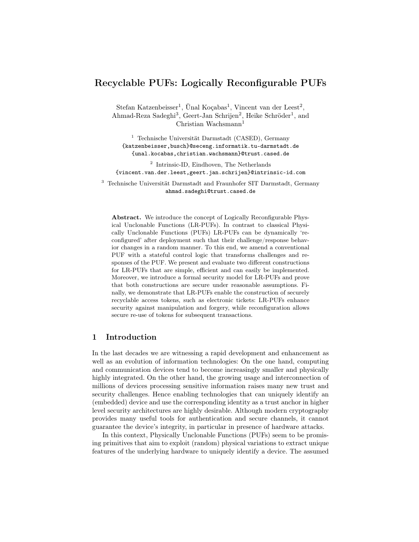# Recyclable PUFs: Logically Reconfigurable PUFs

Stefan Katzenbeisser<sup>1</sup>, Ünal Koçabas<sup>1</sup>, Vincent van der Leest<sup>2</sup>, Ahmad-Reza Sadeghi<sup>3</sup>, Geert-Jan Schrijen<sup>2</sup>, Heike Schröder<sup>1</sup>, and Christian Wachsmann<sup>1</sup>

<sup>1</sup> Technische Universität Darmstadt (CASED), Germany {katzenbeisser,busch}@seceng.informatik.tu-darmstadt.de {unal.kocabas,christian.wachsmann}@trust.cased.de

<sup>2</sup> Intrinsic-ID, Eindhoven, The Netherlands {vincent.van.der.leest,geert.jan.schrijen}@intrinsic-id.com

<sup>3</sup> Technische Universität Darmstadt and Fraunhofer SIT Darmstadt, Germany ahmad.sadeghi@trust.cased.de

Abstract. We introduce the concept of Logically Reconfigurable Physical Unclonable Functions (LR-PUFs). In contrast to classical Physically Unclonable Functions (PUFs) LR-PUFs can be dynamically 'reconfigured' after deployment such that their challenge/response behavior changes in a random manner. To this end, we amend a conventional PUF with a stateful control logic that transforms challenges and responses of the PUF. We present and evaluate two different constructions for LR-PUFs that are simple, efficient and can easily be implemented. Moreover, we introduce a formal security model for LR-PUFs and prove that both constructions are secure under reasonable assumptions. Finally, we demonstrate that LR-PUFs enable the construction of securely recyclable access tokens, such as electronic tickets: LR-PUFs enhance security against manipulation and forgery, while reconfiguration allows secure re-use of tokens for subsequent transactions.

# 1 Introduction

In the last decades we are witnessing a rapid development and enhancement as well as an evolution of information technologies: On the one hand, computing and communication devices tend to become increasingly smaller and physically highly integrated. On the other hand, the growing usage and interconnection of millions of devices processing sensitive information raises many new trust and security challenges. Hence enabling technologies that can uniquely identify an (embedded) device and use the corresponding identity as a trust anchor in higher level security architectures are highly desirable. Although modern cryptography provides many useful tools for authentication and secure channels, it cannot guarantee the device's integrity, in particular in presence of hardware attacks.

In this context, Physically Unclonable Functions (PUFs) seem to be promising primitives that aim to exploit (random) physical variations to extract unique features of the underlying hardware to uniquely identify a device. The assumed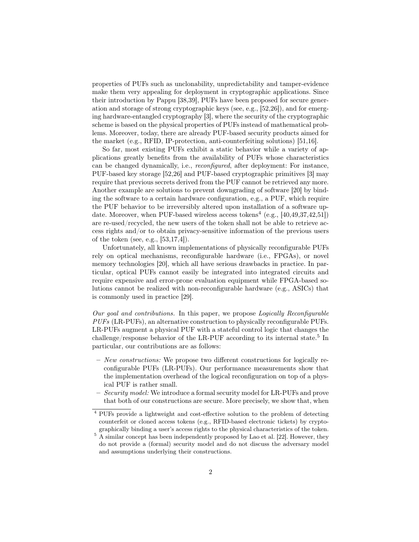properties of PUFs such as unclonability, unpredictability and tamper-evidence make them very appealing for deployment in cryptographic applications. Since their introduction by Pappu [38,39], PUFs have been proposed for secure generation and storage of strong cryptographic keys (see, e.g., [52,26]), and for emerging hardware-entangled cryptography [3], where the security of the cryptographic scheme is based on the physical properties of PUFs instead of mathematical problems. Moreover, today, there are already PUF-based security products aimed for the market (e.g., RFID, IP-protection, anti-counterfeiting solutions) [51,16].

So far, most existing PUFs exhibit a static behavior while a variety of applications greatly benefits from the availability of PUFs whose characteristics can be changed dynamically, i.e., reconfigured, after deployment: For instance, PUF-based key storage [52,26] and PUF-based cryptographic primitives [3] may require that previous secrets derived from the PUF cannot be retrieved any more. Another example are solutions to prevent downgrading of software [20] by binding the software to a certain hardware configuration, e.g., a PUF, which require the PUF behavior to be irreversibly altered upon installation of a software update. Moreover, when PUF-based wireless access tokens<sup>4</sup> (e.g., [40,49,37,42,51]) are re-used/recycled, the new users of the token shall not be able to retrieve access rights and/or to obtain privacy-sensitive information of the previous users of the token (see, e.g., [53,17,4]).

Unfortunately, all known implementations of physically reconfigurable PUFs rely on optical mechanisms, reconfigurable hardware (i.e., FPGAs), or novel memory technologies [20], which all have serious drawbacks in practice. In particular, optical PUFs cannot easily be integrated into integrated circuits and require expensive and error-prone evaluation equipment while FPGA-based solutions cannot be realized with non-reconfigurable hardware (e.g., ASICs) that is commonly used in practice [29].

Our goal and contributions. In this paper, we propose Logically Reconfigurable PUFs (LR-PUFs), an alternative construction to physically reconfigurable PUFs. LR-PUFs augment a physical PUF with a stateful control logic that changes the challenge/response behavior of the LR-PUF according to its internal state.<sup>5</sup> In particular, our contributions are as follows:

- New constructions: We propose two different constructions for logically reconfigurable PUFs (LR-PUFs). Our performance measurements show that the implementation overhead of the logical reconfiguration on top of a physical PUF is rather small.
- $-$  Security model: We introduce a formal security model for LR-PUFs and prove that both of our constructions are secure. More precisely, we show that, when

<sup>4</sup> PUFs provide a lightweight and cost-effective solution to the problem of detecting counterfeit or cloned access tokens (e.g., RFID-based electronic tickets) by cryptographically binding a user's access rights to the physical characteristics of the token.

<sup>5</sup> A similar concept has been independently proposed by Lao et al. [22]. However, they do not provide a (formal) security model and do not discuss the adversary model and assumptions underlying their constructions.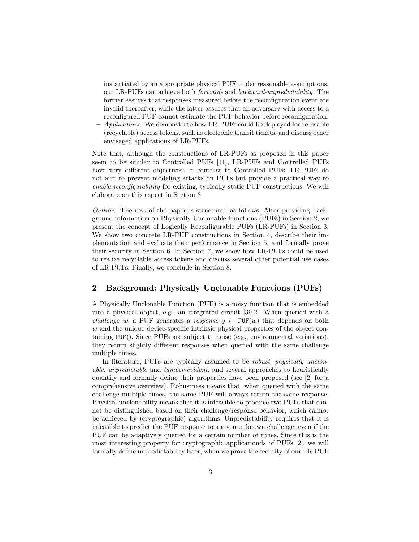instantiated by an appropriate physical PUF under reasonable assumptions, our LR-PUFs can achieve both forward- and backward-unpredictability: The former assures that responses measured before the reconfiguration event are invalid thereafter, while the latter assures that an adversary with access to a reconfigured PUF cannot estimate the PUF behavior before reconfiguration.

– Applications: We demonstrate how LR-PUFs could be deployed for re-usable (recyclable) access tokens, such as electronic transit tickets, and discuss other envisaged applications of LR-PUFs.

Note that, although the constructions of LR-PUFs as proposed in this paper seem to be similar to Controlled PUFs [11], LR-PUFs and Controlled PUFs have very different objectives: In contrast to Controlled PUFs, LR-PUFs do not aim to prevent modeling attacks on PUFs but provide a practical way to enable reconfigurability for existing, typically static PUF constructions. We will elaborate on this aspect in Section 3.

Outline. The rest of the paper is structured as follows: After providing background information on Physically Unclonable Functions (PUFs) in Section 2, we present the concept of Logically Reconfigurable PUFs (LR-PUFs) in Section 3. We show two concrete LR-PUF constructions in Section 4, describe their implementation and evaluate their performance in Section 5, and formally prove their security in Section 6. In Section 7, we show how LR-PUFs could be used to realize recyclable access tokens and discuss several other potential use cases of LR-PUFs. Finally, we conclude in Section 8.

### 2 Background: Physically Unclonable Functions (PUFs)

A Physically Unclonable Function (PUF) is a noisy function that is embedded into a physical object, e.g., an integrated circuit [39,2]. When queried with a challenge w, a PUF generates a response  $y \leftarrow$  PUF $(w)$  that depends on both  $w$  and the unique device-specific intrinsic physical properties of the object containing PUF(). Since PUFs are subject to noise (e.g., environmental variations), they return slightly different responses when queried with the same challenge multiple times.

In literature, PUFs are typically assumed to be *robust*, *physically unclon*able, unpredictable and tamper-evident, and several approaches to heuristically quantify and formally define their properties have been proposed (see [2] for a comprehensive overview). Robustness means that, when queried with the same challenge multiple times, the same PUF will always return the same response. Physical unclonability means that it is infeasible to produce two PUFs that cannot be distinguished based on their challenge/response behavior, which cannot be achieved by (cryptographic) algorithms. Unpredictability requires that it is infeasible to predict the PUF response to a given unknown challenge, even if the PUF can be adaptively queried for a certain number of times. Since this is the most interesting property for cryptographic applicationds of PUFs [2], we will formally define unpredictability later, when we prove the security of our LR-PUF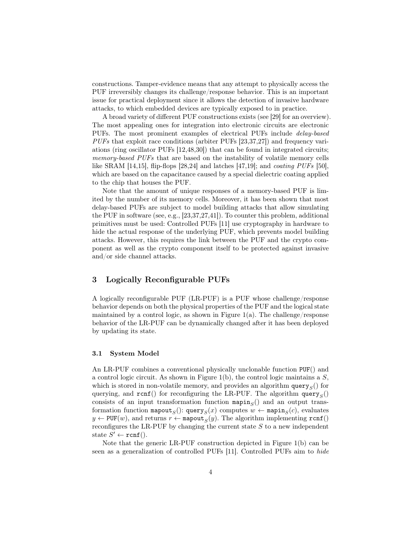constructions. Tamper-evidence means that any attempt to physically access the PUF irreversibly changes its challenge/response behavior. This is an important issue for practical deployment since it allows the detection of invasive hardware attacks, to which embedded devices are typically exposed to in practice.

A broad variety of different PUF constructions exists (see [29] for an overview). The most appealing ones for integration into electronic circuits are electronic PUFs. The most prominent examples of electrical PUFs include delay-based PUFs that exploit race conditions (arbiter PUFs [23,37,27]) and frequency variations (ring oscillator PUFs [12,48,30]) that can be found in integrated circuits; memory-based PUFs that are based on the instability of volatile memory cells like SRAM [14,15], flip-flops [28,24] and latches [47,19]; and *coating PUFs* [50], which are based on the capacitance caused by a special dielectric coating applied to the chip that houses the PUF.

Note that the amount of unique responses of a memory-based PUF is limited by the number of its memory cells. Moreover, it has been shown that most delay-based PUFs are subject to model building attacks that allow simulating the PUF in software (see, e.g., [23,37,27,41]). To counter this problem, additional primitives must be used: Controlled PUFs [11] use cryptography in hardware to hide the actual response of the underlying PUF, which prevents model building attacks. However, this requires the link between the PUF and the crypto component as well as the crypto component itself to be protected against invasive and/or side channel attacks.

# 3 Logically Reconfigurable PUFs

A logically reconfigurable PUF (LR-PUF) is a PUF whose challenge/response behavior depends on both the physical properties of the PUF and the logical state maintained by a control logic, as shown in Figure  $1(a)$ . The challenge/response behavior of the LR-PUF can be dynamically changed after it has been deployed by updating its state.

#### 3.1 System Model

An LR-PUF combines a conventional physically unclonable function PUF() and a control logic circuit. As shown in Figure 1(b), the control logic maintains a  $S$ , which is stored in non-volatile memory, and provides an algorithm  ${\tt query}_S()$  for querying, and  $\text{rcnf}()$  for reconfiguring the LR-PUF. The algorithm  $\text{query}_S()$ consists of an input transformation function  $\text{mapin}_S()$  and an output transformation function  $\mathtt{mapout}_S()$ :  $\mathtt{query}_S(x)$  computes  $w \leftarrow \mathtt{mapin}_S(c)$ , evaluates  $y \leftarrow \texttt{PUF}(w)$ , and returns  $r \leftarrow \texttt{mapout}_S(y)$ . The algorithm implementing  $\texttt{rcnf}()$ reconfigures the LR-PUF by changing the current state  $S$  to a new independent state  $S' \leftarrow \text{rcnf}()$ .

Note that the generic LR-PUF construction depicted in Figure 1(b) can be seen as a generalization of controlled PUFs [11]. Controlled PUFs aim to hide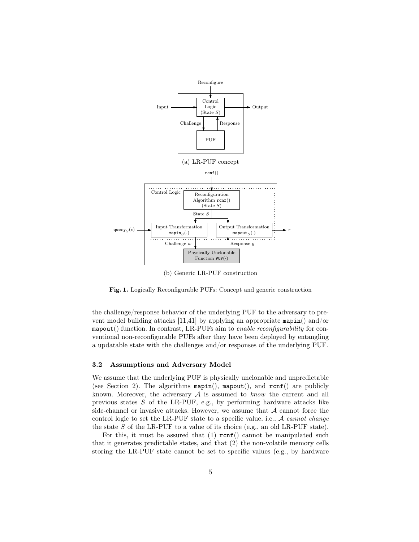

(b) Generic LR-PUF construction

Fig. 1. Logically Reconfigurable PUFs: Concept and generic construction

the challenge/response behavior of the underlying PUF to the adversary to prevent model building attacks [11,41] by applying an appropriate mapin() and/or mapout() function. In contrast, LR-PUFs aim to *enable reconfigurability* for conventional non-reconfigurable PUFs after they have been deployed by entangling a updatable state with the challenges and/or responses of the underlying PUF.

#### 3.2 Assumptions and Adversary Model

We assume that the underlying PUF is physically unclonable and unpredictable (see Section 2). The algorithms  $\text{mapin}($ ),  $\text{mapout}($ ), and  $\text{rcnf}($ ) are publicly known. Moreover, the adversary  $A$  is assumed to know the current and all previous states  $S$  of the LR-PUF, e.g., by performing hardware attacks like side-channel or invasive attacks. However, we assume that  $A$  cannot force the control logic to set the LR-PUF state to a specific value, i.e.,  $A$  cannot change the state  $S$  of the LR-PUF to a value of its choice (e.g., an old LR-PUF state).

For this, it must be assured that  $(1)$  rcnf $($ ) cannot be manipulated such that it generates predictable states, and that (2) the non-volatile memory cells storing the LR-PUF state cannot be set to specific values (e.g., by hardware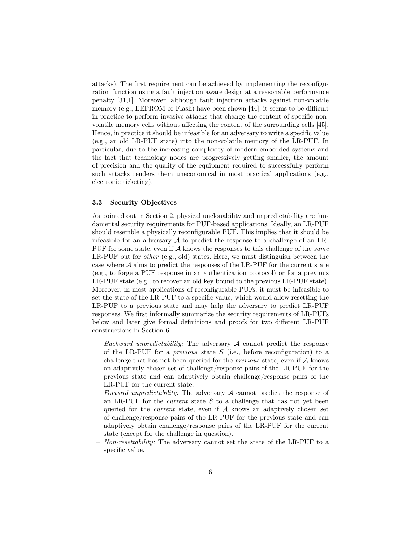attacks). The first requirement can be achieved by implementing the reconfiguration function using a fault injection aware design at a reasonable performance penalty [31,1]. Moreover, although fault injection attacks against non-volatile memory (e.g., EEPROM or Flash) have been shown [44], it seems to be difficult in practice to perform invasive attacks that change the content of specific nonvolatile memory cells without affecting the content of the surrounding cells [45]. Hence, in practice it should be infeasible for an adversary to write a specific value (e.g., an old LR-PUF state) into the non-volatile memory of the LR-PUF. In particular, due to the increasing complexity of modern embedded systems and the fact that technology nodes are progressively getting smaller, the amount of precision and the quality of the equipment required to successfully perform such attacks renders them uneconomical in most practical applications (e.g., electronic ticketing).

### 3.3 Security Objectives

As pointed out in Section 2, physical unclonability and unpredictability are fundamental security requirements for PUF-based applications. Ideally, an LR-PUF should resemble a physically reconfigurable PUF. This implies that it should be infeasible for an adversary  $\mathcal A$  to predict the response to a challenge of an LR-PUF for some state, even if  $A$  knows the responses to this challenge of the same LR-PUF but for *other* (e.g., old) states. Here, we must distinguish between the case where  $A$  aims to predict the responses of the LR-PUF for the current state (e.g., to forge a PUF response in an authentication protocol) or for a previous LR-PUF state (e.g., to recover an old key bound to the previous LR-PUF state). Moreover, in most applications of reconfigurable PUFs, it must be infeasible to set the state of the LR-PUF to a specific value, which would allow resetting the LR-PUF to a previous state and may help the adversary to predict LR-PUF responses. We first informally summarize the security requirements of LR-PUFs below and later give formal definitions and proofs for two different LR-PUF constructions in Section 6.

- $-$  Backward unpredictability: The adversary  $A$  cannot predict the response of the LR-PUF for a *previous* state  $S$  (i.e., before reconfiguration) to a challenge that has not been queried for the *previous* state, even if  $A$  knows an adaptively chosen set of challenge/response pairs of the LR-PUF for the previous state and can adaptively obtain challenge/response pairs of the LR-PUF for the current state.
- Forward unpredictability: The adversary  $A$  cannot predict the response of an LR-PUF for the *current* state  $S$  to a challenge that has not yet been queried for the *current* state, even if  $A$  knows an adaptively chosen set of challenge/response pairs of the LR-PUF for the previous state and can adaptively obtain challenge/response pairs of the LR-PUF for the current state (except for the challenge in question).
- Non-resettability: The adversary cannot set the state of the LR-PUF to a specific value.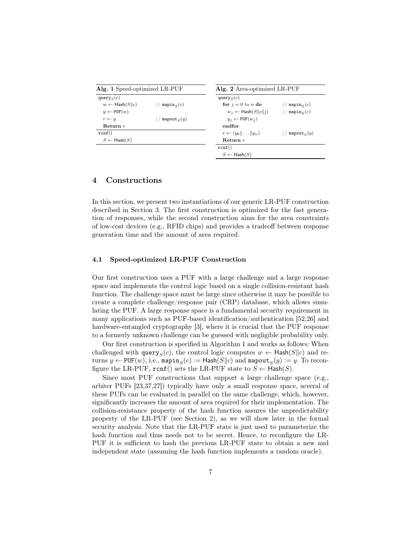| Alg. 1 Speed-optimized LR-PUF |                                    | Alg. 2 Area-optimized LR-PUF         |                                    |
|-------------------------------|------------------------------------|--------------------------------------|------------------------------------|
| query $_{S}(c)$               |                                    | query $_{S}(c)$                      |                                    |
| $w \leftarrow$ Hash $(S  c)$  | mapin <sub><math>g(c)</math></sub> | for $j=0$ to n do                    | mapin <sub><math>g(c)</math></sub> |
| $y \leftarrow \text{PUF}(w)$  |                                    | $w_i \leftarrow$ Hash $(S  c  j)$    | mapin <sub>s</sub> $(c)$           |
| $r \leftarrow v$              | mapout $_{S}(y)$                   | $y_i \leftarrow \text{PUF}(w_i)$     |                                    |
| Return $r$                    |                                    | endfor                               |                                    |
| rcnf()                        |                                    | $r \leftarrow (y_0 \  \dots \  y_n)$ | mapout $_{S}(y)$                   |
| $S \leftarrow$ Hash $(S)$     |                                    | Return $r$                           |                                    |
|                               |                                    | rcnf()                               |                                    |
|                               |                                    | $S \leftarrow$ Hash $(S)$            |                                    |

# 4 Constructions

In this section, we present two instantiations of our generic LR-PUF construction described in Section 3. The first construction is optimized for the fast generation of responses, while the second construction aims for the area constraints of low-cost devices (e.g., RFID chips) and provides a tradeoff between response generation time and the amount of area required.

#### 4.1 Speed-optimized LR-PUF Construction

Our first construction uses a PUF with a large challenge and a large response space and implements the control logic based on a single collision-resistant hash function. The challenge space must be large since otherwise it may be possible to create a complete challenge/response pair (CRP) database, which allows simulating the PUF. A large response space is a fundamental security requirement in many applications such as PUF-based identification/authentication [52,26] and hardware-entangled cryptography [3], where it is crucial that the PUF response to a formerly unknown challenge can be guessed with negligible probability only.

Our first construction is specified in Algorithm 1 and works as follows: When challenged with  $\texttt{query}_S(c)$ , the control logic computes  $w \leftarrow \textsf{Hash}(S||c)$  and returns  $y \leftarrow \texttt{PUF}(w)$ , i.e.,  $\texttt{mapin}_S(c) := \textsf{Hash}(S \| c)$  and  $\texttt{mapout}_S(y) := y$ . To reconfigure the LR-PUF,  $\text{rcnf}()$  sets the LR-PUF state to  $S \leftarrow \text{Hash}(S)$ .

Since most PUF constructions that support a large challenge space (e.g., arbiter PUFs [23,37,27]) typically have only a small response space, several of these PUFs can be evaluated in parallel on the same challenge, which, however, significantly increases the amount of area required for their implementation. The collision-resistance property of the hash function assures the unpredictability property of the LR-PUF (see Section 2), as we will show later in the formal security analysis. Note that the LR-PUF state is just used to parameterize the hash function and thus needs not to be secret. Hence, to reconfigure the LR-PUF it is sufficient to hash the previous LR-PUF state to obtain a new and independent state (assuming the hash function implements a random oracle).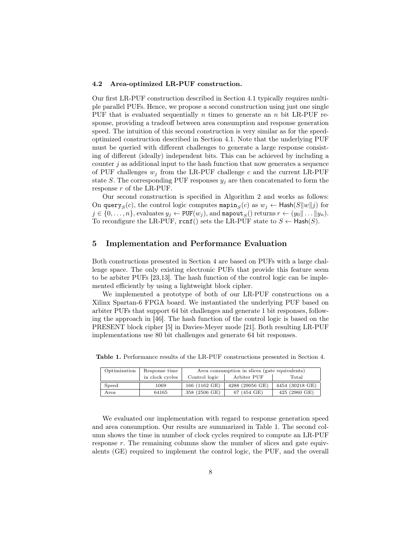#### 4.2 Area-optimized LR-PUF construction.

Our first LR-PUF construction described in Section 4.1 typically requires multiple parallel PUFs. Hence, we propose a second construction using just one single PUF that is evaluated sequentially n times to generate an n bit LR-PUF response, providing a tradeoff between area consumption and response generation speed. The intuition of this second construction is very similar as for the speedoptimized construction described in Section 4.1. Note that the underlying PUF must be queried with different challenges to generate a large response consisting of different (ideally) independent bits. This can be achieved by including a counter  $j$  as additional input to the hash function that now generates a sequence of PUF challenges  $w_i$  from the LR-PUF challenge c and the current LR-PUF state S. The corresponding PUF responses  $y_j$  are then concatenated to form the response  $r$  of the LR-PUF.

Our second construction is specified in Algorithm 2 and works as follows: On  $\texttt{query}_S(c)$ , the control logic computes  $\texttt{mapin}_S(c)$  as  $w_j \leftarrow \textsf{Hash}(S||w||j)$  for  $j \in \{0, \ldots, n\}$ , evaluates  $y_j \leftarrow \texttt{PUF}(w_j)$ , and  $\texttt{mapout}_S()$  returns  $r \leftarrow (y_0 \| \ldots \| y_n)$ . To reconfigure the LR-PUF,  $\text{rcnf}()$  sets the LR-PUF state to  $S \leftarrow \text{Hash}(S)$ .

### 5 Implementation and Performance Evaluation

Both constructions presented in Section 4 are based on PUFs with a large challenge space. The only existing electronic PUFs that provide this feature seem to be arbiter PUFs [23,13]. The hash function of the control logic can be implemented efficiently by using a lightweight block cipher.

We implemented a prototype of both of our LR-PUF constructions on a Xilinx Spartan-6 FPGA board. We instantiated the underlying PUF based on arbiter PUFs that support 64 bit challenges and generate 1 bit responses, following the approach in [46]. The hash function of the control logic is based on the PRESENT block cipher [5] in Davies-Meyer mode [21]. Both resulting LR-PUF implementations use 80 bit challenges and generate 64 bit responses.

Table 1. Performance results of the LR-PUF constructions presented in Section 4.

| Optimization | Response time   | Area consumption in slices (gate equivalents) |                 |                     |
|--------------|-----------------|-----------------------------------------------|-----------------|---------------------|
|              | in clock cycles | Control logic                                 | Arbiter PUF     | $_{\mathrm{Total}}$ |
| Speed        | 1069            | 166 (1162 GE)                                 | 4288 (29056 GE) | 4454 (30218 GE)     |
| Area         | 64165           | 358 (2506 GE)                                 | 67 (454 GE)     | 425 (2960 GE)       |

We evaluated our implementation with regard to response generation speed and area consumption. Our results are summarized in Table 1. The second column shows the time in number of clock cycles required to compute an LR-PUF response r. The remaining columns show the number of slices and gate equivalents (GE) required to implement the control logic, the PUF, and the overall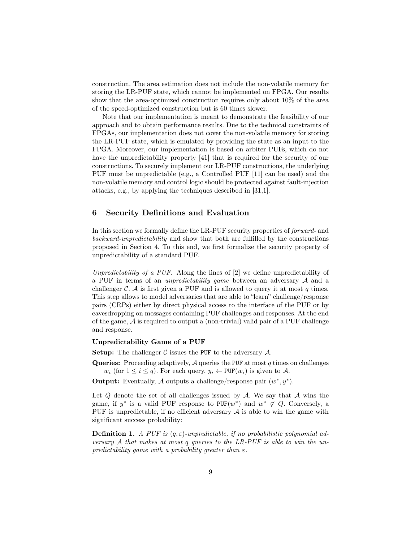construction. The area estimation does not include the non-volatile memory for storing the LR-PUF state, which cannot be implemented on FPGA. Our results show that the area-optimized construction requires only about 10% of the area of the speed-optimized construction but is 60 times slower.

Note that our implementation is meant to demonstrate the feasibility of our approach and to obtain performance results. Due to the technical constraints of FPGAs, our implementation does not cover the non-volatile memory for storing the LR-PUF state, which is emulated by providing the state as an input to the FPGA. Moreover, our implementation is based on arbiter PUFs, which do not have the unpredictability property [41] that is required for the security of our constructions. To securely implement our LR-PUF constructions, the underlying PUF must be unpredictable (e.g., a Controlled PUF [11] can be used) and the non-volatile memory and control logic should be protected against fault-injection attacks, e.g., by applying the techniques described in [31,1].

### 6 Security Definitions and Evaluation

In this section we formally define the LR-PUF security properties of forward- and backward-unpredictability and show that both are fulfilled by the constructions proposed in Section 4. To this end, we first formalize the security property of unpredictability of a standard PUF.

Unpredictability of a PUF. Along the lines of [2] we define unpredictability of a PUF in terms of an unpredictability game between an adversary A and a challenger C. A is first given a PUF and is allowed to query it at most  $q$  times. This step allows to model adversaries that are able to "learn" challenge/response pairs (CRPs) either by direct physical access to the interface of the PUF or by eavesdropping on messages containing PUF challenges and responses. At the end of the game,  $\mathcal A$  is required to output a (non-trivial) valid pair of a PUF challenge and response.

### Unpredictability Game of a PUF

**Setup:** The challenger  $\mathcal C$  issues the PUF to the adversary  $\mathcal A$ .

**Queries:** Proceeding adaptively,  $\mathcal A$  queries the PUF at most  $q$  times on challenges  $w_i$  (for  $1 \leq i \leq q$ ). For each query,  $y_i \leftarrow \text{PUF}(w_i)$  is given to A.

**Output:** Eventually, A outputs a challenge/response pair  $(w^*, y^*)$ .

Let  $Q$  denote the set of all challenges issued by  $A$ . We say that  $A$  wins the game, if  $y^*$  is a valid PUF response to PUF $(w^*)$  and  $w^* \notin Q$ . Conversely, a PUF is unpredictable, if no efficient adversary  $A$  is able to win the game with significant success probability:

**Definition 1.** A PUF is  $(q, \varepsilon)$ -unpredictable, if no probabilistic polynomial adversary A that makes at most q queries to the LR-PUF is able to win the unpredictability game with a probability greater than  $\varepsilon$ .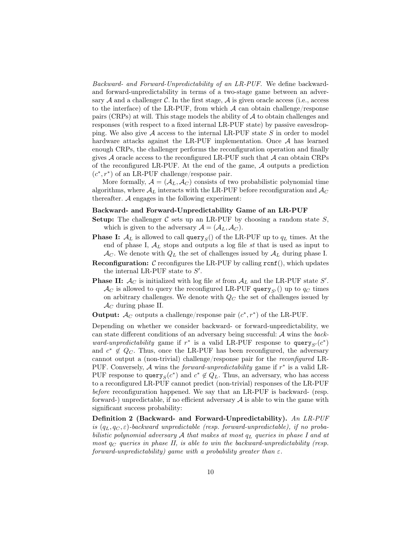Backward- and Forward-Unpredictability of an LR-PUF. We define backwardand forward-unpredictability in terms of a two-stage game between an adversary  $A$  and a challenger  $C$ . In the first stage,  $A$  is given oracle access (i.e., access to the interface) of the LR-PUF, from which  $A$  can obtain challenge/response pairs (CRPs) at will. This stage models the ability of  $A$  to obtain challenges and responses (with respect to a fixed internal LR-PUF state) by passive eavesdropping. We also give  $A$  access to the internal LR-PUF state  $S$  in order to model hardware attacks against the LR-PUF implementation. Once A has learned enough CRPs, the challenger performs the reconfiguration operation and finally gives  $A$  oracle access to the reconfigured LR-PUF such that  $A$  can obtain CRPs of the reconfigured LR-PUF. At the end of the game, A outputs a prediction  $(c^*, r^*)$  of an LR-PUF challenge/response pair.

More formally,  $A = (A_L, A_C)$  consists of two probabilistic polynomial time algorithms, where  $A_L$  interacts with the LR-PUF before reconfiguration and  $A_C$ thereafter. A engages in the following experiment:

#### Backward- and Forward-Unpredictability Game of an LR-PUF

- **Setup:** The challenger  $C$  sets up an LR-PUF by choosing a random state  $S$ , which is given to the adversary  $A = (A_L, A_C)$ .
- **Phase I:**  $\mathcal{A}_L$  is allowed to call  $\text{query}_S()$  of the LR-PUF up to  $q_L$  times. At the end of phase I,  $A_L$  stops and outputs a log file st that is used as input to  $\mathcal{A}_{C}$ . We denote with  $Q_{L}$  the set of challenges issued by  $\mathcal{A}_{L}$  during phase I.
- **Reconfiguration:**  $C$  reconfigures the LR-PUF by calling  $rcnf()$ , which updates the internal LR-PUF state to  $S'$ .
- **Phase II:**  $\mathcal{A}_C$  is initialized with log file st from  $\mathcal{A}_L$  and the LR-PUF state S'.  $\mathcal{A}_{C}$  is allowed to query the reconfigured LR-PUF query<sub>S'</sub>() up to  $q_{C}$  times on arbitrary challenges. We denote with  $Q_C$  the set of challenges issued by  $\mathcal{A}_C$  during phase II.

**Output:**  $\mathcal{A}_C$  outputs a challenge/response pair  $(c^*, r^*)$  of the LR-PUF.

Depending on whether we consider backward- or forward-unpredictability, we can state different conditions of an adversary being successful: A wins the backward-unpredictability game if  $r^*$  is a valid LR-PUF response to  $query_{S'}(c^*)$ and  $c^* \notin Q_C$ . Thus, once the LR-PUF has been reconfigured, the adversary cannot output a (non-trivial) challenge/response pair for the reconfigured LR-PUF. Conversely,  $A$  wins the *forward-unpredictability* game if  $r^*$  is a valid LR-PUF response to  $query_S(c^*)$  and  $c^* \notin Q_L$ . Thus, an adversary, who has access to a reconfigured LR-PUF cannot predict (non-trivial) responses of the LR-PUF before reconfiguration happened. We say that an LR-PUF is backward- (resp. forward-) unpredictable, if no efficient adversary  $A$  is able to win the game with significant success probability:

Definition 2 (Backward- and Forward-Unpredictability). An LR-PUF is  $(q_L, q_C, \varepsilon)$ -backward unpredictable (resp. forward-unpredictable), if no probabilistic polynomial adversary A that makes at most  $q_L$  queries in phase I and at most  $q_C$  queries in phase II, is able to win the backward-unpredictability (resp. forward-unpredictability) game with a probability greater than  $\varepsilon$ .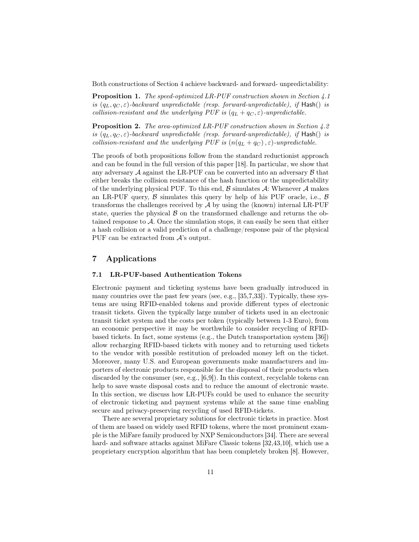Both constructions of Section 4 achieve backward- and forward- unpredictability:

Proposition 1. The speed-optimized LR-PUF construction shown in Section 4.1 is  $(q_L, q_C, \varepsilon)$ -backward unpredictable (resp. forward-unpredictable), if Hash() is collision-resistant and the underlying PUF is  $(q_L + q_C, \varepsilon)$ -unpredictable.

Proposition 2. The area-optimized LR-PUF construction shown in Section 4.2 is  $(q_L, q_C, \varepsilon)$ -backward unpredictable (resp. forward-unpredictable), if Hash() is collision-resistant and the underlying PUF is  $(n(q_L + q_C), \varepsilon)$ -unpredictable.

The proofs of both propositions follow from the standard reductionist approach and can be found in the full version of this paper [18]. In particular, we show that any adversary  $A$  against the LR-PUF can be converted into an adversary  $B$  that either breaks the collision resistance of the hash function or the unpredictability of the underlying physical PUF. To this end,  $\beta$  simulates  $\mathcal{A}$ : Whenever  $\mathcal{A}$  makes an LR-PUF query,  $\beta$  simulates this query by help of his PUF oracle, i.e.,  $\beta$ transforms the challenges received by  $\mathcal A$  by using the (known) internal LR-PUF state, queries the physical  $\beta$  on the transformed challenge and returns the obtained response to  $A$ . Once the simulation stops, it can easily be seen that either a hash collision or a valid prediction of a challenge/response pair of the physical PUF can be extracted from A's output.

# 7 Applications

#### 7.1 LR-PUF-based Authentication Tokens

Electronic payment and ticketing systems have been gradually introduced in many countries over the past few years (see, e.g., [35,7,33]). Typically, these systems are using RFID-enabled tokens and provide different types of electronic transit tickets. Given the typically large number of tickets used in an electronic transit ticket system and the costs per token (typically between 1-3 Euro), from an economic perspective it may be worthwhile to consider recycling of RFIDbased tickets. In fact, some systems (e.g., the Dutch transportation system [36]) allow recharging RFID-based tickets with money and to returning used tickets to the vendor with possible restitution of preloaded money left on the ticket. Moreover, many U.S. and European governments make manufacturers and importers of electronic products responsible for the disposal of their products when discarded by the consumer (see, e.g., [6,9]). In this context, recyclable tokens can help to save waste disposal costs and to reduce the amount of electronic waste. In this section, we discuss how LR-PUFs could be used to enhance the security of electronic ticketing and payment systems while at the same time enabling secure and privacy-preserving recycling of used RFID-tickets.

There are several proprietary solutions for electronic tickets in practice. Most of them are based on widely used RFID tokens, where the most prominent example is the MiFare family produced by NXP Semiconductors [34]. There are several hard- and software attacks against MiFare Classic tokens [32,43,10], which use a proprietary encryption algorithm that has been completely broken [8]. However,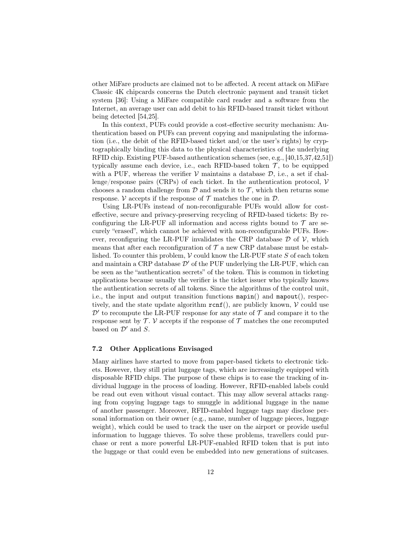other MiFare products are claimed not to be affected. A recent attack on MiFare Classic 4K chipcards concerns the Dutch electronic payment and transit ticket system [36]: Using a MiFare compatible card reader and a software from the Internet, an average user can add debit to his RFID-based transit ticket without being detected [54,25].

In this context, PUFs could provide a cost-effective security mechanism: Authentication based on PUFs can prevent copying and manipulating the information (i.e., the debit of the RFID-based ticket and/or the user's rights) by cryptographically binding this data to the physical characteristics of the underlying RFID chip. Existing PUF-based authentication schemes (see, e.g., [40,15,37,42,51]) typically assume each device, i.e., each RFID-based token  $\mathcal{T}$ , to be equipped with a PUF, whereas the verifier  $V$  maintains a database  $D$ , i.e., a set if challenge/response pairs (CRPs) of each ticket. In the authentication protocol,  $\mathcal V$ chooses a random challenge from  $D$  and sends it to  $T$ , which then returns some response. V accepts if the response of  $\mathcal T$  matches the one in  $\mathcal D$ .

Using LR-PUFs instead of non-reconfigurable PUFs would allow for costeffective, secure and privacy-preserving recycling of RFID-based tickets: By reconfiguring the LR-PUF all information and access rights bound to  $\mathcal T$  are securely "erased", which cannot be achieved with non-reconfigurable PUFs. However, reconfiguring the LR-PUF invalidates the CRP database  $\mathcal D$  of  $\mathcal V$ , which means that after each reconfiguration of  $\mathcal T$  a new CRP database must be established. To counter this problem,  $V$  could know the LR-PUF state  $S$  of each token and maintain a CRP database  $\mathcal{D}'$  of the PUF underlying the LR-PUF, which can be seen as the "authentication secrets" of the token. This is common in ticketing applications because usually the verifier is the ticket issuer who typically knows the authentication secrets of all tokens. Since the algorithms of the control unit, i.e., the input and output transition functions mapin() and mapout(), respectively, and the state update algorithm  $rcnf()$ , are publicly known,  $\mathcal V$  could use  $\mathcal{D}'$  to recompute the LR-PUF response for any state of  $\mathcal T$  and compare it to the response sent by  $\mathcal{T}$ . V accepts if the response of  $\mathcal{T}$  matches the one recomputed based on  $\mathcal{D}'$  and S.

#### 7.2 Other Applications Envisaged

Many airlines have started to move from paper-based tickets to electronic tickets. However, they still print luggage tags, which are increasingly equipped with disposable RFID chips. The purpose of these chips is to ease the tracking of individual luggage in the process of loading. However, RFID-enabled labels could be read out even without visual contact. This may allow several attacks ranging from copying luggage tags to smuggle in additional luggage in the name of another passenger. Moreover, RFID-enabled luggage tags may disclose personal information on their owner (e.g., name, number of luggage pieces, luggage weight), which could be used to track the user on the airport or provide useful information to luggage thieves. To solve these problems, travellers could purchase or rent a more powerful LR-PUF-enabled RFID token that is put into the luggage or that could even be embedded into new generations of suitcases.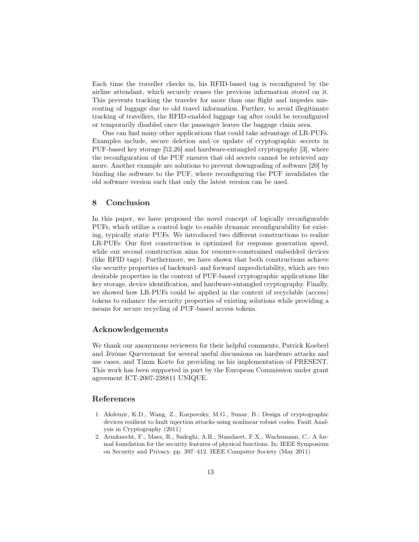Each time the traveller checks in, his RFID-based tag is reconfigured by the airline attendant, which securely erases the previous information stored on it. This prevents tracking the traveler for more than one flight and impedes misrouting of luggage due to old travel information. Further, to avoid illegitimate tracking of travellers, the RFID-enabled luggage tag after could be reconfigured or temporarily disabled once the passenger leaves the baggage claim area.

One can find many other applications that could take advantage of LR-PUFs. Examples include, secure deletion and/or update of cryptographic secrets in PUF-based key storage [52,26] and hardware-entangled cryptography [3], where the reconfiguration of the PUF ensures that old secrets cannot be retrieved any more. Another example are solutions to prevent downgrading of software [20] by binding the software to the PUF, where reconfiguring the PUF invalidates the old software version such that only the latest version can be used.

# 8 Conclusion

In this paper, we have proposed the novel concept of logically reconfigurable PUFs, which utilize a control logic to enable dynamic reconfigurability for existing, typically static PUFs. We introduced two different constructions to realize LR-PUFs: Our first construction is optimized for response generation speed, while our second construction aims for resource-constrained embedded devices (like RFID tags). Furthermore, we have shown that both constructions achieve the security properties of backward- and forward unpredictability, which are two desirable properties in the context of PUF-based cryptographic applications like key storage, device identification, and hardware-entangled cryptography. Finally, we showed how LR-PUFs could be applied in the context of recyclable (access) tokens to enhance the security properties of existing solutions while providing a means for secure recycling of PUF-based access tokens.

# Acknowledgements

We thank our anonymous reviewers for their helpful comments, Patrick Koeberl and Jérôme Quevremont for several useful discussions on hardware attacks and use cases, and Timm Korte for providing us his implementation of PRESENT. This work has been supported in part by the European Commission under grant agreement ICT-2007-238811 UNIQUE.

# References

- 1. Akdemir, K.D., Wang, Z., Karpovsky, M.G., Sunar, B.: Design of cryptographic devices resilient to fault injection attacks using nonlinear robust codes. Fault Analysis in Cryptography (2011)
- 2. Armknecht, F., Maes, R., Sadeghi, A.R., Standaert, F.X., Wachsmann, C.: A formal foundation for the security features of physical functions. In: IEEE Symposium on Security and Privacy. pp. 397–412. IEEE Computer Society (May 2011)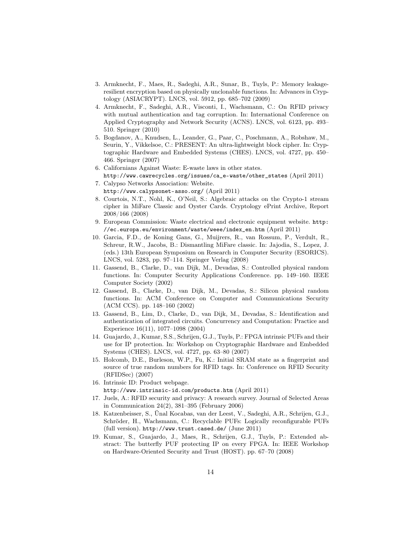- 3. Armknecht, F., Maes, R., Sadeghi, A.R., Sunar, B., Tuyls, P.: Memory leakageresilient encryption based on physically unclonable functions. In: Advances in Cryptology (ASIACRYPT). LNCS, vol. 5912, pp. 685–702 (2009)
- 4. Armknecht, F., Sadeghi, A.R., Visconti, I., Wachsmann, C.: On RFID privacy with mutual authentication and tag corruption. In: International Conference on Applied Cryptography and Network Security (ACNS). LNCS, vol. 6123, pp. 493– 510. Springer (2010)
- 5. Bogdanov, A., Knudsen, L., Leander, G., Paar, C., Poschmann, A., Robshaw, M., Seurin, Y., Vikkelsoe, C.: PRESENT: An ultra-lightweight block cipher. In: Cryptographic Hardware and Embedded Systems (CHES). LNCS, vol. 4727, pp. 450– 466. Springer (2007)
- 6. Californians Against Waste: E-waste laws in other states. http://www.cawrecycles.org/issues/ca\_e-waste/other\_states (April 2011)
- 7. Calypso Networks Association: Website. http://www.calypsonet-asso.org/ (April 2011)
- 8. Courtois, N.T., Nohl, K., O'Neil, S.: Algebraic attacks on the Crypto-1 stream cipher in MiFare Classic and Oyster Cards. Cryptology ePrint Archive, Report 2008/166 (2008)
- 9. European Commission: Waste electrical and electronic equipment website. http: //ec.europa.eu/environment/waste/weee/index\_en.htm (April 2011)
- 10. Garcia, F.D., de Koning Gans, G., Muijrers, R., van Rossum, P., Verdult, R., Schreur, R.W., Jacobs, B.: Dismantling MiFare classic. In: Jajodia, S., Lopez, J. (eds.) 13th European Symposium on Research in Computer Security (ESORICS). LNCS, vol. 5283, pp. 97–114. Springer Verlag (2008)
- 11. Gassend, B., Clarke, D., van Dijk, M., Devadas, S.: Controlled physical random functions. In: Computer Security Applications Conference. pp. 149–160. IEEE Computer Society (2002)
- 12. Gassend, B., Clarke, D., van Dijk, M., Devadas, S.: Silicon physical random functions. In: ACM Conference on Computer and Communications Security (ACM CCS). pp. 148–160 (2002)
- 13. Gassend, B., Lim, D., Clarke, D., van Dijk, M., Devadas, S.: Identification and authentication of integrated circuits. Concurrency and Computation: Practice and Experience 16(11), 1077–1098 (2004)
- 14. Guajardo, J., Kumar, S.S., Schrijen, G.J., Tuyls, P.: FPGA intrinsic PUFs and their use for IP protection. In: Workshop on Cryptographic Hardware and Embedded Systems (CHES). LNCS, vol. 4727, pp. 63–80 (2007)
- 15. Holcomb, D.E., Burleson, W.P., Fu, K.: Initial SRAM state as a fingerprint and source of true random numbers for RFID tags. In: Conference on RFID Security (RFIDSec) (2007)
- 16. Intrinsic ID: Product webpage. http://www.intrinsic-id.com/products.htm (April 2011)
- 17. Juels, A.: RFID security and privacy: A research survey. Journal of Selected Areas in Communication 24(2), 381–395 (February 2006)
- 18. Katzenbeisser, S., Ünal Kocabas, van der Leest, V., Sadeghi, A.R., Schrijen, G.J., Schröder, H., Wachsmann, C.: Recyclable PUFs: Logically reconfigurable PUFs (full version). http://www.trust.cased.de/ (June 2011)
- 19. Kumar, S., Guajardo, J., Maes, R., Schrijen, G.J., Tuyls, P.: Extended abstract: The butterfly PUF protecting IP on every FPGA. In: IEEE Workshop on Hardware-Oriented Security and Trust (HOST). pp. 67–70 (2008)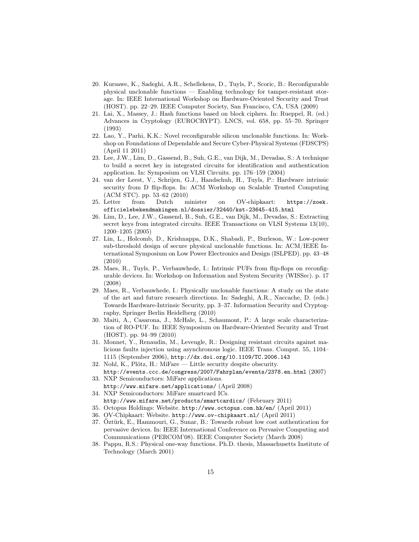- 20. Kursawe, K., Sadeghi, A.R., Schellekens, D., Tuyls, P., Scoric, B.: Reconfigurable physical unclonable functions — Enabling technology for tamper-resistant storage. In: IEEE International Workshop on Hardware-Oriented Security and Trust (HOST). pp. 22–29. IEEE Computer Society, San Francisco, CA, USA (2009)
- 21. Lai, X., Massey, J.: Hash functions based on block ciphers. In: Rueppel, R. (ed.) Advances in Cryptology (EUROCRYPT). LNCS, vol. 658, pp. 55–70. Springer (1993)
- 22. Lao, Y., Parhi, K.K.: Novel reconfigurable silicon unclonable functions. In: Workshop on Foundations of Dependable and Secure Cyber-Physical Systems (FDSCPS) (April 11 2011)
- 23. Lee, J.W., Lim, D., Gassend, B., Suh, G.E., van Dijk, M., Devadas, S.: A technique to build a secret key in integrated circuits for identification and authentication application. In: Symposium on VLSI Circuits. pp. 176–159 (2004)
- 24. van der Leest, V., Schrijen, G.J., Handschuh, H., Tuyls, P.: Hardware intrinsic security from D flip-flops. In: ACM Workshop on Scalable Trusted Computing (ACM STC). pp. 53–62 (2010)
- 25. Letter from Dutch minister on OV-chipkaart: https://zoek. officielebekendmakingen.nl/dossier/32440/kst-23645-415.html
- 26. Lim, D., Lee, J.W., Gassend, B., Suh, G.E., van Dijk, M., Devadas, S.: Extracting secret keys from integrated circuits. IEEE Transactions on VLSI Systems 13(10), 1200–1205 (2005)
- 27. Lin, L., Holcomb, D., Krishnappa, D.K., Shabadi, P., Burleson, W.: Low-power sub-threshold design of secure physical unclonable functions. In: ACM/IEEE International Symposium on Low Power Electronics and Design (ISLPED). pp. 43–48 (2010)
- 28. Maes, R., Tuyls, P., Verbauwhede, I.: Intrinsic PUFs from flip-flops on reconfigurable devices. In: Workshop on Information and System Security (WISSec). p. 17 (2008)
- 29. Maes, R., Verbauwhede, I.: Physically unclonable functions: A study on the state of the art and future research directions. In: Sadeghi, A.R., Naccache, D. (eds.) Towards Hardware-Intrinsic Security, pp. 3–37. Information Security and Cryptography, Springer Berlin Heidelberg (2010)
- 30. Maiti, A., Casarona, J., McHale, L., Schaumont, P.: A large scale characterization of RO-PUF. In: IEEE Symposium on Hardware-Oriented Security and Trust (HOST). pp. 94–99 (2010)
- 31. Monnet, Y., Renaudin, M., Leveugle, R.: Designing resistant circuits against malicious faults injection using asynchronous logic. IEEE Trans. Comput. 55, 1104– 1115 (September 2006), http://dx.doi.org/10.1109/TC.2006.143
- 32. Nohl, K., Plötz, H.: MiFare Little security despite obscurity. http://events.ccc.de/congress/2007/Fahrplan/events/2378.en.html (2007)
- 33. NXP Semiconductors: MiFare applications. http://www.mifare.net/applications/ (April 2008)
- 34. NXP Semiconductors: MiFare smartcard ICs. http://www.mifare.net/products/smartcardics/ (February 2011)
- 35. Octopus Holdings: Website. http://www.octopus.com.hk/en/ (April 2011)
- 36. OV-Chipkaart: Website. http://www.ov-chipkaart.nl/ (April 2011)
- 37. Öztürk, E., Hammouri, G., Sunar, B.: Towards robust low cost authentication for pervasive devices. In: IEEE International Conference on Pervasive Computing and Communications (PERCOM'08). IEEE Computer Society (March 2008)
- 38. Pappu, R.S.: Physical one-way functions. Ph.D. thesis, Massachusetts Institute of Technology (March 2001)